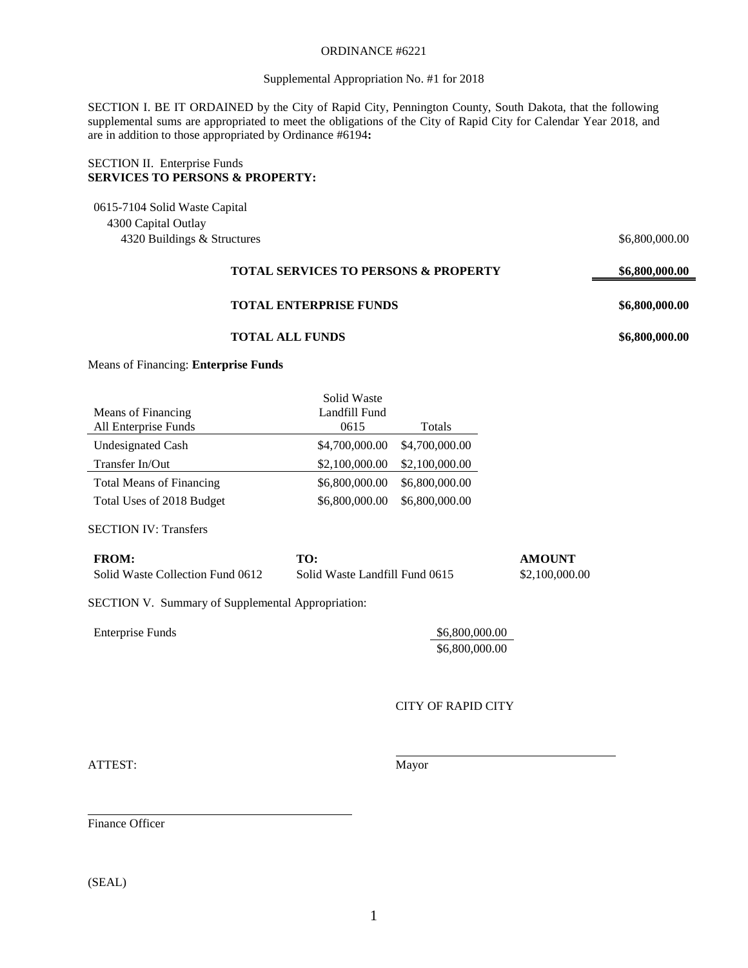### ORDINANCE #6221

### Supplemental Appropriation No. #1 for 2018

SECTION I. BE IT ORDAINED by the City of Rapid City, Pennington County, South Dakota, that the following supplemental sums are appropriated to meet the obligations of the City of Rapid City for Calendar Year 2018, and are in addition to those appropriated by Ordinance #6194**:**

## SECTION II. Enterprise Funds **SERVICES TO PERSONS & PROPERTY:**

0615-7104 Solid Waste Capital 4300 Capital Outlay 4320 Buildings & Structures  $$6,800,000.00$ 

# **TOTAL SERVICES TO PERSONS & PROPERTY \$6,800,000.00**

# **TOTAL ENTERPRISE FUNDS \$6,800,000.00**

## **TOTAL ALL FUNDS \$6,800,000.00**

Means of Financing: **Enterprise Funds**

|                                 | Solid Waste    |                |
|---------------------------------|----------------|----------------|
| Means of Financing              | Landfill Fund  |                |
| All Enterprise Funds            | 0615           | Totals         |
| <b>Undesignated Cash</b>        | \$4,700,000.00 | \$4,700,000.00 |
| Transfer In/Out                 | \$2,100,000.00 | \$2,100,000.00 |
| <b>Total Means of Financing</b> | \$6,800,000.00 | \$6,800,000.00 |
| Total Uses of 2018 Budget       | \$6,800,000.00 | \$6,800,000.00 |

SECTION IV: Transfers

| <b>FROM:</b>                     | TO:                            | AMOUNT         |
|----------------------------------|--------------------------------|----------------|
| Solid Waste Collection Fund 0612 | Solid Waste Landfill Fund 0615 | \$2,100,000.00 |

SECTION V. Summary of Supplemental Appropriation:

| <b>Enterprise Funds</b> | \$6,800,000.00        |
|-------------------------|-----------------------|
|                         | $R \leq R$ and and an |

\$6,800,000.00

CITY OF RAPID CITY

ATTEST: Mayor

Finance Officer

(SEAL)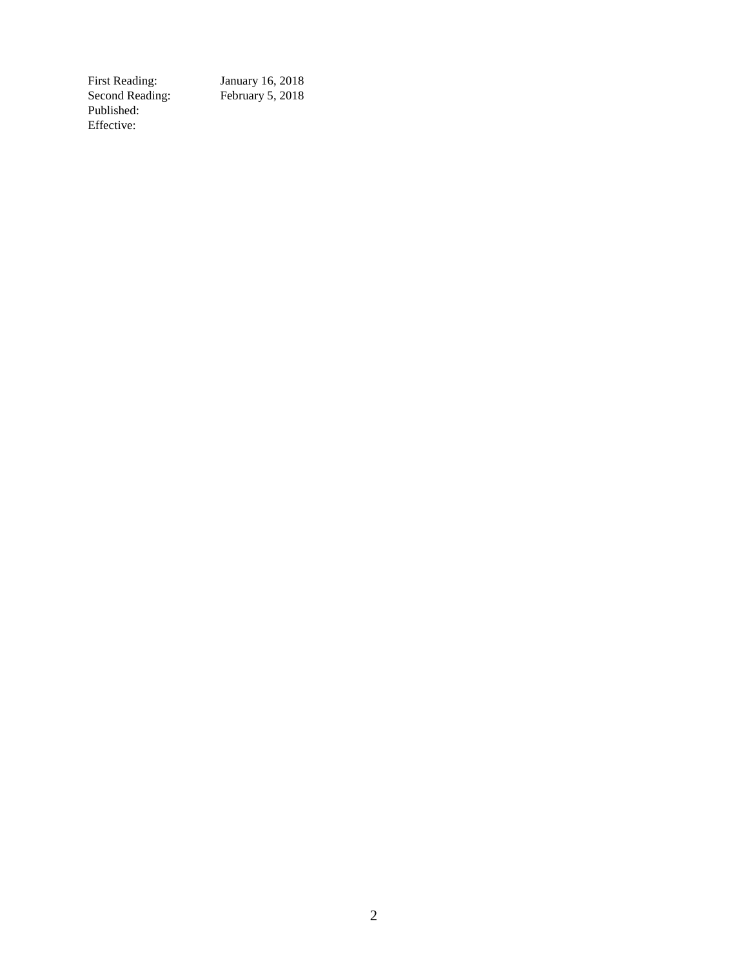Second Reading: February 5, 2018 Published: Effective:

January 16, 2018<br>February 5, 2018